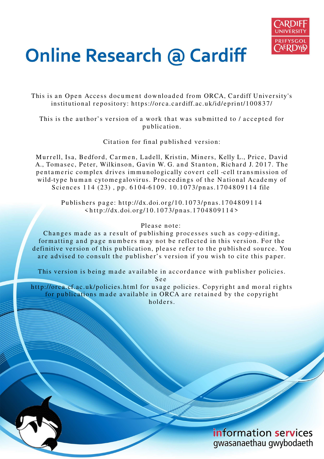

# **Online Research @ Cardiff**

This is an Open Access document downloaded from ORCA, Cardiff University's institutional repository: https://orca.cardiff.ac.uk/id/eprint/100837/

This is the author's version of a work that was submitted to / accepted for p u blication.

Citation for final published version:

Murrell, Isa, Bedford, Carmen, Ladell, Kristin, Miners, Kelly L., Price, David A., Tomasec, Peter, Wilkinson, Gavin W. G. and Stanton, Richard J. 2017. The pentameric complex drives immunologically covert cell -cell transmission of wild-type human cytomegalovirus. Proceedings of the National Academy of Sciences 114 (23), pp. 6104-6109. 10.1073/pnas.1704809114 file

Publishers page: http://dx.doi.org/10.1073/pnas.1704809114  $\langle \text{http://dx.doi.org/10.1073/pnas.1704809114>}$ 

# Please note:

Changes made as a result of publishing processes such as copy-editing, formatting and page numbers may not be reflected in this version. For the definitive version of this publication, please refer to the published source. You are advised to consult the publisher's version if you wish to cite this paper.

This version is being made available in accordance with publisher policies.

S e e

http://orca.cf.ac.uk/policies.html for usage policies. Copyright and moral rights for publications made available in ORCA are retained by the copyright holders.

> information services gwasanaethau gwybodaeth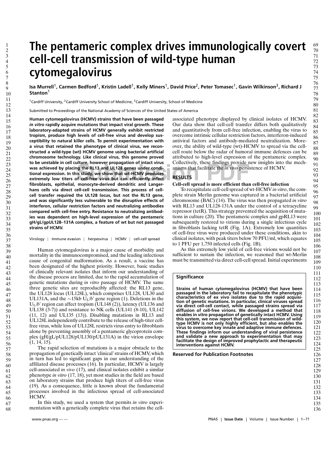# **The pentameric complex drives immunologically covert cell-cell transmission of wild-type human cytomegalovirus**

Isa Murrell<sup>1</sup>, Carmen Bedford<sup>1</sup>, Kristin Ladell<sup>1</sup>, Kelly Miners<sup>1</sup>, David Price<sup>2</sup>, Peter Tomasec<sup>1</sup>, Gavin Wilkinson<sup>3</sup>, Richard J **Stanton**<sup>1</sup>

<sup>1</sup>Cardiff University, <sup>2</sup>Cardiff University School of Medicine, <sup>3</sup>Cardiff University, School of Medicine

Submitted to Proceedings of the National Academy of Sciences of the United States of America

**Submission Extending In cell culture, however propagation of intact virus** Collectively, these findings provide in was achieved by placing the RL13 and UL128 genes under condi-<br>
stional expression. In this study, we show **Human cytomegalovirus (HCMV) strains that have been passaged** *in vitro* **rapidly acquire mutations that impact viral growth. These laboratory-adapted strains of HCMV generally exhibit restricted tropism, produce high levels of cell-free virus and develop susceptibility to natural killer cells. To permit experimentation with a virus that retained the phenotype of clinical virus, we reconstructed a wild-type (wt) HCMV genome using bacterial artificial chromosome technology. Like clinical virus, this genome proved was achieved by placing the RL13 and UL128 genes under conditional expression. In this study, we show that wt-HCMV produces extremely low titers of cell-free virus but can efficiently infect fibroblasts, epithelial, monocyte-derived dendritic and Langerhans cells via direct cell-cell transmission. This process of cellcell transfer required the UL128 locus, but not the RL13 gene, and was significantly less vulnerable to the disruptive effects of interferon, cellular restriction factors and neutralizing antibodies compared with cell-free entry. Resistance to neutralizing antibodies was dependent on high-level expression of the pentameric gH/gL/gpUL128**–**131A complex, a feature of wt but not passaged strains of HCMV.**

#### Virology | Immune evasion | herpesvirus | HCMV | cell-cell spread

Human cytomegalovirus is a major cause of morbidity and mortality in the immunocompromised, and the leading infectious cause of congenital malformation. As a result, a vaccine has been designated of the highest priority. However, basic studies of clinically relevant isolates that inform our understanding of the disease process are limited, due to the rapid accumulation of genetic mutations during *in vitro* passage of HCMV. The same three genetic sites are reproducibly affected: the RL13 gene, the UL128 locus (UL128L), which comprises UL128, UL30 and UL131A, and the ∼15kb UL/*b*' gene region (1). Deletions in the U<sub>L</sub>/*b*' region can affect tropism (UL148 (2)), latency (UL136 and UL138 (3-7)) and resistance to NK cells (UL141 (8-10), UL142 (11, 12) and UL135 (13)). Disabling mutations in RL13 and UL128L independently contribute to the release of high-titer cellfree virus, while loss of UL128L restricts virus entry to fibroblasts alone by preventing assembly of a pentameric glycoprotein complex (gH/gL/pUL128/pUL130/pUL131A) in the virion envelope  $(1, 14, 15)$ .

The rapid selection of mutations is a major obstacle to the propagation of genetically intact 'clinical'strains of HCMV, which in turn has led to significant gaps in our understanding of the affiliated disease processes (16). In particular, HCMV is largely cell-associated *in vivo* (17), and clinical isolates exhibit a similar phenotype *in vitro* (17, 18), yet most studies in the field are based on laboratory strains that produce high titers of cell-free virus (19). As a consequence, little is known about the fundamental processes involved in the infectious spread of cell-associated HCMV.

In this study, we used a system that permits *in vitro* experimentation with a genetically complete virus that retains the cellassociated phenotype displayed by clinical isolates of HCMV. Our data show that cell-cell transfer differs both qualitatively and quantitatively from cell-free infection, enabling the virus to overcome intrinsic cellular restriction factors, interferon-induced antiviral factors and antibody-mediated neutralization. Moreover, the ability of wild-type (wt)-HCMV to spread via the cellcell route below the radar of humoral immune defences can be attributed to high-level expression of the pentameric complex. Collectively, these findings provide new insights into the mechanisms that facilitate the *in vivo* persistence of HCMV.

#### **RESULTS**

#### **Cell-cell spread is more efficient than cell-free infection**

To recapitulate cell-cell spread of wt-HCMV *in vitro*, the complete strain Merlin genome was captured in a bacterial artificial chromosome (BAC) (14). The virus was then propagated *in vitro* with RL13 and UL128-131A under the control of a tetracycline repressor (tetR). This strategy prevented the acquisition of mutations in culture (20). The pentameric complex and gpRL13 were subsequently restored to virions during a single infectious cycle in fibroblasts lacking tetR (Fig. 1A). Extremely low quantities of cell-free virus were produced under these conditions, akin to clinical isolates, with peak titers below 70 PFU/ml, which equates to 1 PFU per 1,750 infected cells (Fig. 1B).

As this extremely low yield of cell-free virions would not be sufficient to sustain the infection, we reasoned that wt-Merlin must be transmitted via direct cell-cell spread. Initial experiments

#### **Significance**

**Strains of human cytomegalovirus (HCMV) that have been passaged in the laboratory fail to recapitulate the phenotypic characteristics of ex vivo isolates due to the rapid acquisition of genetic mutations. In particular, clinical viruses spread via direct cell-cell contact, while passaged strains spread via diffusion of cell-free virions. We developed a method that enables in vitro propagation of genetically intact HCMV. Using this system, we now report that cell-cell transmission of wildtype HCMV is not only highly efficient, but also enables the virus to overcome key innate and adaptive immune defences. These findings inform our understanding of viral persistence and validate a new approach to experimentation that may facilitate the design of improved prophylactic and therapeutic interventions against HCMV.**

#### **Reserved for Publication Footnotes**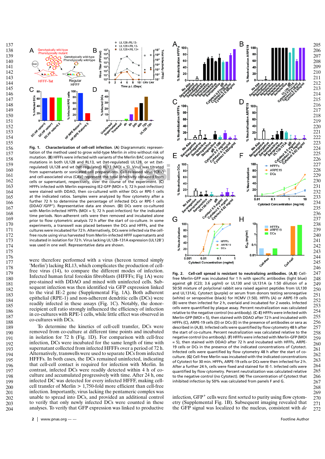

mutations in both UL128 and RL13, wt (tet-regulated) UL128, or wt (tet-<br>regulated) UL128 and wt (tet-regulated) RL13 (MOI = 5). Virus was titrated<br>from supernatants or sonicated cell preparations. Cell-released virus (CRV) **Fig. 1. Characterization of cell-cell infection**. (**A**) Diagrammatic representation of the method used to grow wild-type Merlin *in vitro* without risk of mutation. (**B**) HFFFs were infected with variants of the Merlin BAC containing mutations in both UL128 and RL13, wt (tet-regulated) UL128, or wt (tetregulated) UL128 and wt (tet-regulated) RL13 (MOI = 5). Virus was titrated from supernatants or sonicated cell preparations. Cell-released virus (CRV) cells or supernatant, respectively, over the course of the experiment. (**C**) HFFFs infected with Merlin expressing IE2-GFP (MOI = 5; 72 h post-infection) were stained with DDAO, then co-cultured with either DCs or RPE-1 cells at the indicated ratios. Samples were analyzed by flow cytometry after a further 72 h to determine the percentage of infected DCs or RPE-1 cells (DDAO– /GFP<sup>+</sup> ). Representative data are shown. (**D**) DCs were co-cultured with Merlin-infected HFFFs (MOI = 5; 72 h post-infection) for the indicated time periods. Non-adherent cells were then removed and incubated alone prior to flow cytometric analysis 72 h after the start of co-culture. In some experiments, a transwell was placed between the DCs and HFFFs, and the cultures were incubated for 72 h. Alternatively, DCs were infected via the cellfree route using virus harvested from Merlin-infected HFFF supernatants and incubated in isolation for 72 h. Virus lacking UL128–131A expression (UL128– ) was used in one well. Representative data are shown.

were therefore performed with a virus (hereon termed simply 'Merlin') lacking RL13, which complicates the production of cellfree virus (14), to compare the different modes of infection. Infected human fetal foreskin fibroblasts (HFFFs; Fig 1A) were pre-stained with DDAO and mixed with uninfected cells. Subsequent infection was then identified via GFP expression linked to the viral IE-2 gene (Supplemental Fig. 1A). Both adherent epithelial (RPE-1) and non-adherent dendritic cells (DCs) were readily infected in these assays (Fig. 1C). Notably, the donorrecipient cell ratio strongly influenced the efficiency of infection in co-cultures with RPE-1 cells, while little effect was observed in co-cultures with DCs.

To determine the kinetics of cell-cell transfer, DCs were removed from co-culture at different time points and incubated in isolation for 72 h (Fig. 1D). For comparison with cell-free infection, DCs were incubated for the same length of time with supernatant collected from infected HFFFs over a period of 72 h. Alternatively, transwells were used to separate DCs from infected HFFFs. In both cases, the DCs remained uninfected, indicating that cell-cell contact is required for infection with Merlin. In contrast, infected DCs were readily detected within 4 h of coculture and accumulated progressively with time. After 24 h, one infected DC was detected for every infected HFFF, making cellcell transfer of Merlin > 1,750-fold more efficient than cell-free infection. Importantly, virus lacking the pentameric complex was unable to spread into DCs, and provided an additional control to verify that only newly infected DCs were counted in these analyses. To verify that GFP expression was linked to productive



**Fig. 2. Cell-cell spread is resistant to neutralizing antibodies.** (**A**,**B**) Cellfree Merlin-GFP was incubated for 1 h with specific antibodies (light blue) against gB (C23; 3.6 µg/ml) or UL130 and UL131A (a 1:50 dilution of a 50:50 mixture of polyclonal rabbit sera raised against peptides from UL130 and UL131A), Cytotect (purple) or serum from donors testing seronegative (white) or seropositive (black) for HCMV (1:50). HFFFs (A) or ARPE-19 cells (B) were then infected for 2 h, overlaid and incubated for 2 weeks. Infected cells were quantified by plaque assay. Percent neutralization was calculated relative to the negative control (no antibody). (**C**–**E**) HFFFs were infected with Merlin-GFP (MOI = 5), then stained with DDAO after 72 h and incubated with HFFFs (C), ARPE-19 cells (D) or DCs (E) in the presence of antibodies or sera as described in (A,B). Infected cells were quantified by flow cytometry 48 h after the start of co-culture. Percent neutralization was calculated relative to the negative control (no antibody). (**F**) HFFFs were infected with Merlin-GFP (MOI = 5), then stained with DDAO after 72 h and incubated with HFFFs, ARPE-19 cells or DCs in the presence of the indicated concentrations of Cytotect. Infected cells were quantified by flow cytometry 48 h after the start of coculture. (**G**) Cell-free Merlin was incubated with the indicated concentrations of Cytotect for 30 min. HFFFs, ARPE-19 cells or DCs were then infected for 2 h. After a further 24 h, cells were fixed and stained for IE-1. Infected cells were quantified by flow cytometry. Percent neutralization was calculated relative to the negative control (no Cytotect). (**H**) The concentration of Cytotect that inhibited infection by 50% was calculated from panels F and G.

infection, GFP<sup>+</sup> cells were first sorted to purity using flow cytometry (Supplemental Fig. 1B). Subsequent imaging revealed that the GFP signal was localized to the nucleus, consistent with *de*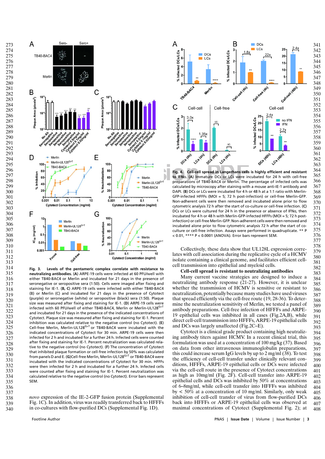

**Fig. 3. Levels of the pentameric complex correlate with resistance to neutralizing antibodies.** (**A**) ARPE-19 cells were infected at 60 PFU/well with either TB40-BAC4 or Merlin and incubated for 21 days in the presence of seronegative or seropositive sera (1:50). Cells were imaged after fixing and staining for IE-1. (**B, C**) ARPE-19 cells were infected with either TB40-BAC4 (B) or Merlin (C) and incubated for 21 days in the presence of Cytotect (purple) or seronegative (white) or seropositive (black) sera (1:50). Plaque size was measured after fixing and staining for IE-1. (**D**) ARPE-19 cells were infected with 60 PFU/well of either TB40-BAC4, Merlin or Merlin-UL128G>T and incubated for 21 days in the presence of the indicated concentrations of Cytotect. Plaque size was measured after fixing and staining for IE-1. Percent inhibition was calculated relative to the negative control (no Cytotect). (**E**) Cell-free Merlin, Merlin-UL128<sup>G>T</sup> or TB40-BAC4 were incubated with the indicated concentrations of Cytotect for 30 min. ARPE-19 cells were then infected for 2 h and incubated for a further 24 h. Infected cells were counted after fixing and staining for IE-1. Percent neutralization was calculated relative to the negative control (no Cytotect). (**F**) The concentration of Cytotect that inhibited plaque formation or cell-free infection by 50% was calculated from panels D and E. (**G**)Cell-free Merlin, Merlin-UL128G>T or TB40-BAC4 were incubated with the indicated concentrations of Cytotect for 30 min. HFFFs were then infected for 2 h and incubated for a further 24 h. Infected cells were counted after fixing and staining for IE-1. Percent neutralization was calculated relative to the negative control (no Cytotect). Error bars represent SEM.

*novo* expression of the IE-2-GFP fusion protein (Supplemental Fig. 1C). In addition, virus was readily transferred back to HFFFs in co-cultures with flow-purified DCs (Supplemental Fig. 1D).



**Fig. 4. Cell-cell spread in Langerhans cells is highly efficient and resistant to IFN**α**.** (**A**) Immature DCs or LCs were incubated for 24 h with cell-free preparations of TB40-BAC4 or Merlin. The percentage of infected cells was calculated by microscopy after staining with a mouse anti-IE-1 antibody and DAPI. (**B**) DCs or LCs were incubated for 4 h or 48 h at a 1:1 ratio with Merlin-GFP-infected HFFFs (MOI = 5; 72 h post-infection) or cell-free Merlin-GFP. Non-adherent cells were then removed and incubated alone prior to flow cytometric analysis 72 h after the start of co-culture or cell-free infection. (**C**) DCs or LCs were cultured for 24 h in the presence or absence of IFNα, then incubated for 4 h or 48 h with Merlin-GFP-infected HFFFs (MOI = 5; 72 h postinfection) or cell-free Merlin-GFP. Non-adherent cells were then removed and incubated alone prior to flow cytometric analysis 72 h after the start of coculture or cell-free infection. Assays were performed in quadruplicate. \*\* P < 0.01, \*\*\*\* P < 0.0001 (ANOVA). Error bars represent SEM.

Collectively, these data show that UL128L expression correlates with cell association during the replicative cycle of a HCMV isolate containing a clinical genome, and facilitates efficient cellcell transmission into epithelial and myeloid cells.

#### **Cell-cell spread is resistant to neutralizing antibodies**

Many current vaccine strategies are designed to induce a neutralizing antibody response (21-27). However, it is unclear whether the transmission of HCMV is sensitive or resistant to neutralization, potentially because many studies have used viruses that spread efficiently via the cell-free route (19, 28-36). To determine the neutralization sensitivity of Merlin, we tested a panel of antibody preparations. Cell-free infection of HFFFs and ARPE-19 epithelial cells was inhibited in all cases (Fig.2A,B), while direct cell-cell transmission into HFFFs, ARPE-19 epithelial cells and DCs was largely unaffected (Fig.2C–E).

Cytotect is a clinical grade product containing high neutralizing antibody titers against HCMV. In a recent clinical trial, this formulation was used at a concentration of 100 mg/kg (37). Based on data from other intravenous immunoglobulin preparations, this could increase serum IgG levels by up to 2 mg/ml (38). To test the efficiency of cell-cell transfer under clinically relevant conditions, HFFFs, ARPE-19 epithelial cells or DCs were infected via the cell-cell route in the presence of Cytotect concentrations as high as 10mg/ml (Fig. 2F). Cell-cell transfer into ARPE-19 epithelial cells and DCs was inhibited by 50% at concentrations of 6–8mg/ml, while cell-cell transfer into HFFFs was inhibited by  $\langle 50\%$  at a concentration of 10 mg/ml. Similarly, only weak inhibition of cell-cell transfer of virus from flow-purified DCs back into HFFFs or ARPE-19 epithelial cells was observed at maximal concentrations of Cytotect (Supplemental Fig. 2); at 

Footline Author **PNAS** | **Issue Date** | Volume | Issue Number | 3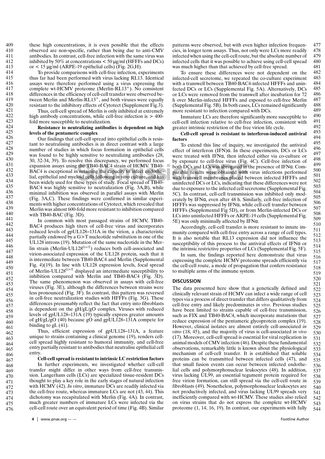409 410 411

455 456 464

complete wt-HCMV proteome (Merlin-RL13<sup>+</sup>). No consistent differences in the efficiency of cell-cell transfer were observed between Merlin and Merlin-RL13<sup>+</sup>, and both viruses were equally resistant to the inhibitory effects of Cytotect (Supplement Fig.3). Thus, cell-cell spread of Merlin is only inhibited at extremely high antibody concentrations, while cell-free infection is  $> 400$ fold more susceptible to neutralization. 418 419 420 421 422 423 424

#### **Resistance to neutralizing antibodies is dependent on high levels of the pentameric complex**

these high concentrations, it is even possible that the effects observed are non-specific, rather than being due to anti-CMV antibodies. In contrast, cell-free infection with the same virus was inhibited by 50% at concentrations  $<$  50  $\mu$ g/ml (HFFFs and DCs)

To provide comparisons with cell-free infection, experiments thus far had been performed with virus lacking RL13. Identical assays were therefore performed using a virus expressing the

or  $<$  15 µg/ml (ARPE-19 epithelial cells) (Fig. 2G,H).

Ive this discrepancy, we performed focus by exposure to cell-free virus (Fig. the TB40-BAC4 strain of HCMV. TB40-<br>
In retaining the capacity to infect endothe-<br>
loid cells following *in vitro* culture, and has with transwe Our findings that cell-cell spread into epithelial cells is resistant to neutralising antibodies is in direct contrast with a large number of studies in which focus formation in epithelial cells was found to be highly sensitive to neutralizing antibodies (28, 30, 32-34, 39). To resolve this discrepancy, we performed focus expansion assays using the TB40-BAC4 strain of HCMV. TB40- BAC4 is exceptional in retaining the capacity to infect endothelial, epithelial and myeloid cells following *in vitro* culture, and has been widely used for these types of study. Focal spread of TB40- BAC4 was highly sensitive to neutralization (Fig. 3A,B), while minimal inhibition was observed in parallel assays with Merlin (Fig. 3A,C). These findings were confirmed in similar experiments with higher concentrations of Cytotect, which revealed that Merlin was almost 600-fold more resistant to inhibition compared with TB40-BAC (Fig. 3D).

In common with most passaged strains of HCMV, TB40- BAC4 produces high titers of cell-free virus and incorporates reduced levels of gpUL128–131A in the virion, a characteristic partially endowed by a G>T nucleotide substitution in one of the UL128 introns (19). Mutation of the same nucleotide in the Merlin strain (Merlin-UL128<sup>G>T</sup>) reduces both cell-associated and virion-associated expression of the UL128 protein, such that it is intermediate between TB40-BAC4 and Merlin (Supplemental Fig. 4)(19). In line with UL128 expression levels, focal spread of Merlin-UL128G>T displayed an intermediate susceptibility to inhibition compared with Merlin and TB40-BAC4 (Fig. 3D). The same phenomenon was observed in assays with cell-free viruses (Fig. 3E), although the differences between strains were less pronounced (Fig. 3F). In contrast, this pattern was reversed in cell-free neutralization studies with HFFFs (Fig. 3G). These differences presumably reflect the fact that entry into fibroblasts is dependent on the gH/gL/gO complex. Viruses with reduced levels of gpUL128–131A (19) typically express greater amounts of gH/gL/gO (40) because gO and gpUL128–131A compete for binding to  $gL(41)$ .

Thus, efficient expression of gpUL128–131A, a feature unique to strains containing a clinical genome (19), renders cellcell spread highly resistant to humoral immunity, and cell-free entry partially resistant to antibodies that neutralise epithelial cell entry.

## **Cell-cell spread is resistant to intrinsic LC restriction factors**

In further experiments, we investigated whether cell-cell transfer might differ in other ways from cell-free transmission. Langerhans cells (LCs) are specialized tissue-resident DCs thought to play a key role in the early stages of natural infection with HCMV (42). *In vitro*, immature DCs are readily infected via the cell-free route, whereas immature LCs are not (43, 44). This dichotomy was recapitulated with Merlin (Fig. 4A). In contrast, much greater numbers of immature LCs were infected via the cell-cell route over an equivalent period of time (Fig. 4B). Similar

patterns were observed, but with even higher infection frequencies, in longer term assays. Thus, not only were LCs more readily infected when using the cell-cell route, but the absolute number of infected cells that it was possible to achieve using cell-cell spread was much higher than that achieved by cell-free spread. 477 478 479 480 481 482

To ensure these differences were not dependent on the infected-cell secretome, we repeated the co-culture experiment with a transwell between TB40-BAC4-infected HFFFs and uninfected DCs or LCs (Supplemental Fig. 5A). Alternatively, DCs or LCs were removed from the transwell after incubation for 72 h over Merlin-infected HFFFs and exposed to cell-free Merlin (Supplemental Fig. 5B). In both cases, LCs remained significantly more resistant to infection compared with DCs.

Immature LCs are therefore significantly more susceptible to cell-cell infection relative to cell-free infection, consistent with greater intrinsic restriction of the free virion life cycle.

#### **Cell-cell spread is resistant to interferon-induced antiviral factors**

To extend this line of inquiry, we investigated the antiviral effect of interferon (IFN)α. In these experiments, DCs or LCs were treated with IFNα, then infected either via co-culture or by exposure to cell-free virus (Fig. 4C). Cell-free infection of both DCs and LCs was abrogated in the presence of IFNα. Comparable results were obtained with virus infections performed with transwell membranes placed between infected HFFFs and uninfected DCs or LCs, indicating that these differences were not due to exposure to the infected cell secretome (Supplemental Fig. 5C). In contrast, cell-cell transmission was inhibited only moderately by IFNα, even after 48 h. Similarly, cell-free infection of HFFFs was suppressed by IFNα, while cell-cell transfer between HFFFs (Supplemental Fig 5D), or from Merlin-infected DCs or LCs into uninfected HFFFs or ARPE-19 cells (Supplemental Fig. 5E) was only minimally affected by IFNα.

Accordingly, cell-cell transfer is more resistant to innate immunity compared with cell-free entry across a range of cell types. It is also notable that RL13 expression did not influence the susceptibility of this process to the antiviral effects of IFNα or the intrinsic restrictive properties of LCs (Supplemental Fig. 5F).

In sum, the findings reported here demonstrate that virus expressing the complete HCMV proteome spreads efficiently via the cell-cell route, a mode of propagation that confers resistance to multiple arms of the immune system.

## **DISCUSSION**

The data presented here show that a genetically defined and clinically relevant strain of HCMV can infect a wide range of cell types via a process of direct transfer that differs qualitatively from cell-free entry and likely predominates *in vivo*. Previous studies have been limited to strains capable of cell-free transmission, such as FIX and TB40-BAC4, which incorporate mutations that reduce expression of the pentameric glycoprotein complex (19). However, clinical isolates are almost entirely cell-associated *in vitro* (18, 45), and the majority of virus is cell-associated *in vivo* (17). Moreover, cell-cell spread is essential for viral replication in animal models of CMV infection (46). Despite these fundamental observations, remarkably little is known about the physiological mechanism of cell-cell transfer. It is established that soluble proteins can be transmitted between infected cells (47), and that small fusion events can occur between infected endothelial cells and polymorphonuclear leukocytes (48). In addition, virus lacking UL99, an essential tegument protein required for free virion formation, can still spread via the cell-cell route in fibroblasts (49). Nonetheless, polymorphonuclear leukocytes are not productively infected, and virus lacking UL99 spreads very inefficiently compared with wt-HCMV. These studies also relied on virus strains that do not express the complete wt-HCMV proteome (1, 14, 16, 19). In contrast, our experiments with fully 521 522 523 524 525 526 527 528 529 530 531 532 533 534 535 536 537 538 539 540 541 542 543 544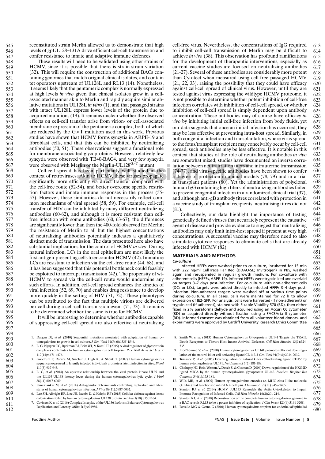reconstituted strain Merlin allowed us to demonstrate that high levels of gpUL128–131A drive efficient cell-cell transmission and confer resistance to innate and adaptive immune defences. 545 546 547

548 549

588

591

These results will need to be validated using other strains of HCMV, since it is possible that there is strain-strain variation (32). This will require the construction of additional BACs containing genomes that match original clinical isolates, and contain tet operators upstream of UL128L and RL13 (14). Nonetheless, it seems likely that the pentameric complex is normally expressed at high levels *in vivo* given that clinical isolates grow in a cellassociated manner akin to Merlin and rapidly acquire similar ablative mutations in UL128L *in vitro* (1), and that passaged strains with intact UL128L express lower levels of the protein due to acquired mutations (19). It remains unclear whether the observed effects on cell-cell transfer arise from virion- or cell-associated membrane expression of the pentameric complex, both of which are reduced by the G>T mutation used in this work. Previous studies have shown that HCMV forms syncytia in ARPE-19 and fibroblast cells, and that this can be inhibited by neutralizing antibodies (50, 51). These observations suggest a functional role for membrane-associated glycoproteins. However, relatively few syncytia were observed with TB40-BAC4, and very few syncytia were observed with Merlin or the Merlin-UL128<sup>G>T</sup> mutant. 550

Cell-cell spread has been particularly well studied in the context of retroviruses. Akin to HCMV, these viruses propagate significantly more efficiently via direct transfer compared with the cell-free route (52-54), and better overcome specific restriction factors and innate immune responses in the process (55- 57). However, these similarities do not necessarily reflect common mechanisms of viral spread (58, 59). For example, cell-cell transfer of HIV can be inhibited by many different neutralizing antibodies (60-62), and although it is more resistant than cellfree infection with some antibodies (60, 63-67), the differences are significantly lower than then the 400-fold observed for Merlin; the resistance of Merlin to all but the highest concentrations of neutralizing antibodies potentially indicates a qualitatively distinct mode of transmission. The data presented here also have substantial implications for the control of HCMV *in vivo*. During natural infection, LCs in the oral epithelium are most likely the first antigen-presenting cells to encounter HCMV (42). Immature LCs are resistant to infection via the cell-free route (44, 68), and it has been suggested that this potential bottleneck could feasibly be exploited to interrupt transmission (42). The propensity of wt-HCMV to spread via the cell-cell route would undermine any such efforts. In addition, cell-cell spread enhances the kinetics of viral infection (52, 69, 70) and enables drug resistance to develop more quickly in the setting of HIV  $(71, 72)$ . These phenotypes can be attributed to the fact that multiple virions are delivered per cell during a cell-cell transmission event (71, 73). It remains to be determined whether the same is true for HCMV. 568 569 570 571 572 573 574 575 576 577 578 579 580 581 582 583 584 585 586 587 589 590 592 593 594

> It will be interesting to determine whether antibodies capable of suppressing cell-cell spread are also effective at neutralising

- 3. Goodrum F, Reeves M, Sinclair J, High K, & Shenk T (2007) Human cytomegalovirus sequences expressed in latently infected individuals promote a latent infection in vitro. *Blood* 110(3):937-945.
- 4. Li G*, et al.* (2014) An epistatic relationship between the viral protein kinase UL97 and the UL133-UL138 latency locus during the human cytomegalovirus lytic cycle. *J Virol* 88(11):6047-6060.
- 5. Umashankar M*, et al.* (2014) Antagonistic determinants controlling replicative and latent states of human cytomegalovirus infection. *J Virol* 88(11):5987-6002.
- 6. Lee SH, Albright ER, Lee JH, Jacobs D, & Kalejta RF (2015) Cellular defense against latent colonization foiled by human cytomegalovirus UL138 protein. *Sci Adv* 1(10):e1501164.
- 7. Caviness K*, et al.*(2016) Complex Interplay of the UL136 Isoforms Balances Cytomegalovirus Replication and Latency. *MBio* 7(2):e01986.

cell-free virus. Nevertheless, the concentrations of IgG required to inhibit cell-cell transmission of Merlin may be difficult to achieve *in vivo* (38). This observation has profound ramifications for the development of therapeutic interventions, especially as current vaccine studies are focused on neutralizing antibodies (21-27). Several of these antibodies are considerably more potent than Cytotect when measured using cell-free passaged HCMV (21, 22, 33), raising the possibility that they could have efficacy against cell-cell spread of clinical virus. However, until they are tested against virus expressing the wildtype HCMV proteome, it is not possible to determine whether potent inhibition of cell-free infection correlates with inhibition of cell-cell spread, or whether inhibition of cell-cell spread is simply dependent upon antibody concentration. These antibodies may of course have efficacy *in vivo* by inhibiting initial cell-free infection from body fluids, yet 613 614 615 616 617 618 619 620 621 622 623 624 625 626 627

Figure 1 B40-BAC4, and very lew syncytia are somewhat mixed; studies have do<br>
relin or the Merlin-UL128<sup>G>T</sup> mutant.<br>
Submission between neutralization titers are<br>
submission particularly well studied in the  $(74-77)$ , an our data suggests that once an initial infection has occurred, they may be less effective at preventing intra-host spread. Similarly, in both congenital infection and transplantation, where virus spread to the fetus/transplant recipient may conceivably occur by cell-cell spread, such antibodies may be less effective. It is notable in this context that studies of the role of neutralising antibodies *in vivo* are somewhat mixed; studies have documented an inverse correlation between neutralization titers and intrauterine transmission (74-77), and virus-specific antibodies have been shown to confer a degree of protection in animal models (78, 79) and in a trial in transplant patients (80). Yet the administration of polyclonal human IgG containing high titers of neutralizing antibodies failed to prevent congenital infection in a randomized clinical trial (37), and although anti-gB antibody titres correlated with protection in a vaccine study of transplant recipients, neutralising titres did not (81). 628 629 630 631 632 633 634 635 636 637 638 639 640 641 642 643

Collectively, our data highlight the importance of testing genetically defined viruses that accurately represent the causative agent of disease and provide evidence to suggest that neutralizing antibodies may only limit intra-host spread if present at very high concentrations. A successful vaccine may therefore need to also stimulate cytotoxic responses to eliminate cells that are already infected with HCMV (82).

#### **MATERIALS AND METHODS**

*Co-culture*

Infected HFFFs were washed prior to co-culture, incubated for 15 min with 222 ng/ml CellTrace Far Red (DDAO-SE; Invitrogen) in PBS, washed again and resuspended in regular growth medium. For co-culture with adherent cells (HFFFs, ARPE-19), infected HFFFs were trypsinized and overlaid on targets 3–7 days post-infection. For co-culture with non-adherent cells (DCs or LCs), targets were added directly to infected HFFFs 3–4 days postinfection. Non-adherent targets were washed off at various time points during co-culture. In all cases, cells were maintained for 72 h to allow expression of IE2-GFP. For analysis, cells were harvested (if non-adherent) or trypsinized (if adherent), stained with Fixable Viability 570 (BD), then either fixed in 2% paraformaldehyde and acquired using an Accuri C6 cytometer (BD) or acquired directly without fixation using a FACSAria II cytometer (BD). Informed consent was obtained from all volunteer blood donors, and experiments were approved by Cardiff University Research Ethics Committee

- 8. Smith W*, et al.* (2013) Human Cytomegalovirus Glycoprotein UL141 Targets the TRAIL Death Receptors to Thwart Host Innate Antiviral Defenses. *Cell Host Microbe* 13(3):324- 335.
- 9. Prod'homme V*, et al.* (2010) Human cytomegalovirus UL141 promotes efficient downregulation of the natural killer cell activating ligand CD112. *J Gen Virol* 91(Pt 8):2034-2039.
- 10. Tomasec P*, et al.* (2005) Downregulation of natural killer cell-activating ligand CD155 by human cytomegalovirus UL141. *Nat Immunol* 6(2):181-188.
- 11. Chalupny NJ, Rein-Weston A, Dosch S, & Cosman D (2006) Down-regulation of the NKG2D ligand MICA by the human cytomegalovirus glycoprotein UL142. *Biochem Biophys Res Commun* 346(1):175-181.
- 12. Wills MR*, et al.* (2005) Human cytomegalovirus encodes an MHC class I-like molecule (UL142) that functions to inhibit NK cell lysis. *J Immunol* 175(11):7457-7465.
- 13. Stanton RJ*, et al.* (2014) HCMV pUL135 Remodels the Actin Cytoskeleton to Impair Immune Recognition of Infected Cells. *Cell Host Microbe* 16(2):201-214.
- 14. Stanton RJ*, et al.* (2010) Reconstruction of the complete human cytomegalovirus genome in a BAC reveals RL13 to be a potent inhibitor of replication. *J Clin Invest* 120(9):3191-3208.
- 15. Revello MG & Gerna G (2010) Human cytomegalovirus tropism for endothelial/epithelial

<sup>1.</sup> Dargan DJ*, et al.* (2010) Sequential mutations associated with adaptation of human cytomegalovirus to growth in cell culture. *J Gen Virol* 91(Pt 6):1535-1546.

<sup>2.</sup> Li G, Nguyen CC, Ryckman BJ, Britt WJ, & Kamil JP (2015) A viral regulator of glycoprotein complexes contributes to human cytomegalovirus cell tropism. *Proc Natl Acad Sci U S A* 112(14):4471-4476.